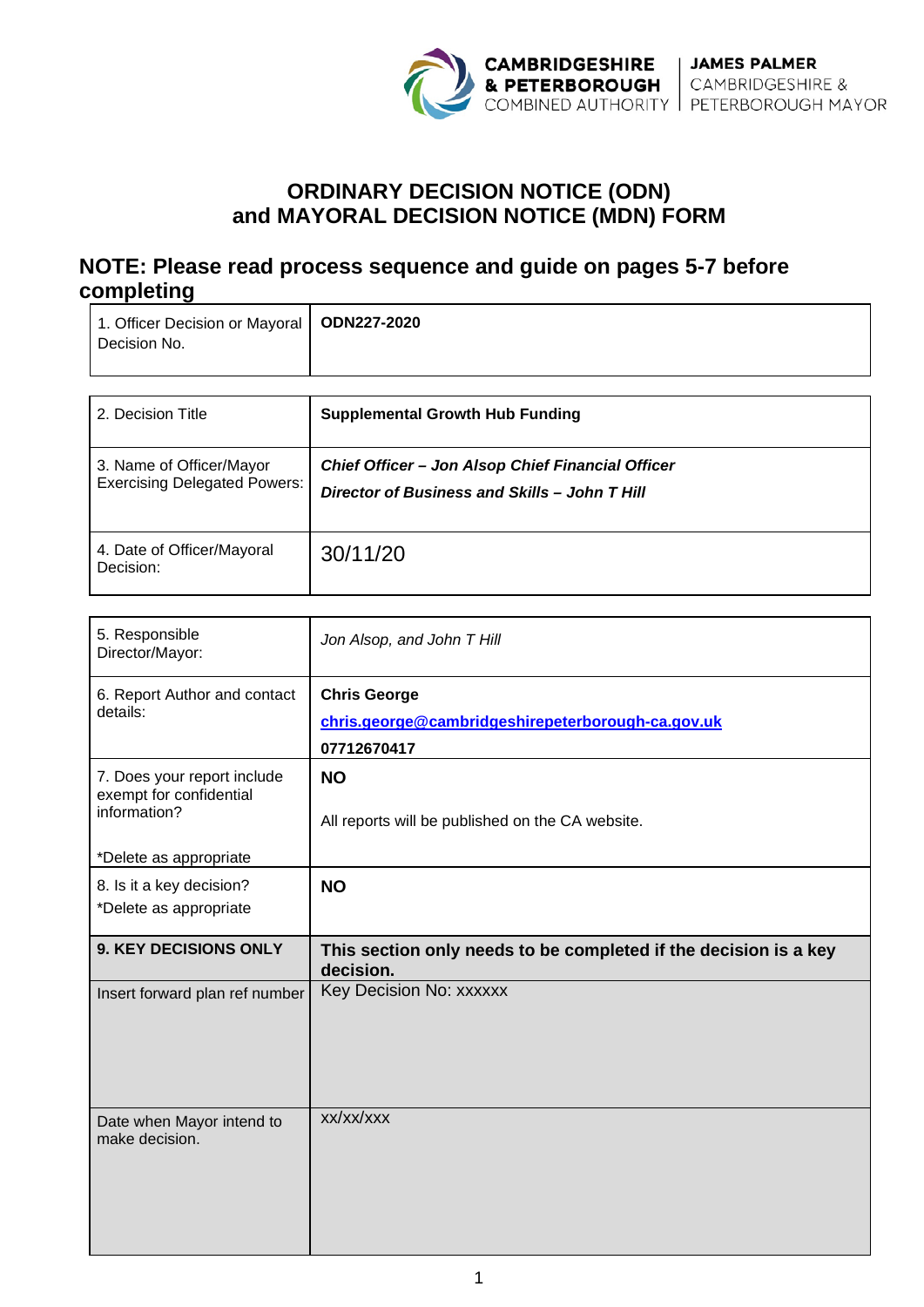

# **ORDINARY DECISION NOTICE (ODN) and MAYORAL DECISION NOTICE (MDN) FORM**

# **NOTE: Please read process sequence and guide on pages 5-7 before completing**

| 1. Officer Decision or Mayoral   ODN227-2020 |  |
|----------------------------------------------|--|
| Decision No.                                 |  |
|                                              |  |

| 2. Decision Title                                               | <b>Supplemental Growth Hub Funding</b>                                                                    |
|-----------------------------------------------------------------|-----------------------------------------------------------------------------------------------------------|
| 3. Name of Officer/Mayor<br><b>Exercising Delegated Powers:</b> | <b>Chief Officer - Jon Alsop Chief Financial Officer</b><br>Director of Business and Skills - John T Hill |
| 4. Date of Officer/Mayoral<br>Decision:                         | 30/11/20                                                                                                  |

| 5. Responsible<br>Director/Mayor:                      | Jon Alsop, and John T Hill                                                    |  |
|--------------------------------------------------------|-------------------------------------------------------------------------------|--|
| 6. Report Author and contact                           | <b>Chris George</b>                                                           |  |
| details:                                               | chris.george@cambridgeshirepeterborough-ca.gov.uk                             |  |
|                                                        | 07712670417                                                                   |  |
| 7. Does your report include<br>exempt for confidential | <b>NO</b>                                                                     |  |
| information?                                           | All reports will be published on the CA website.                              |  |
| *Delete as appropriate                                 |                                                                               |  |
| 8. Is it a key decision?                               | <b>NO</b>                                                                     |  |
| *Delete as appropriate                                 |                                                                               |  |
|                                                        |                                                                               |  |
| 9. KEY DECISIONS ONLY                                  | This section only needs to be completed if the decision is a key<br>decision. |  |
| Insert forward plan ref number                         | Key Decision No: xxxxxx<br>xx/xx/xxx                                          |  |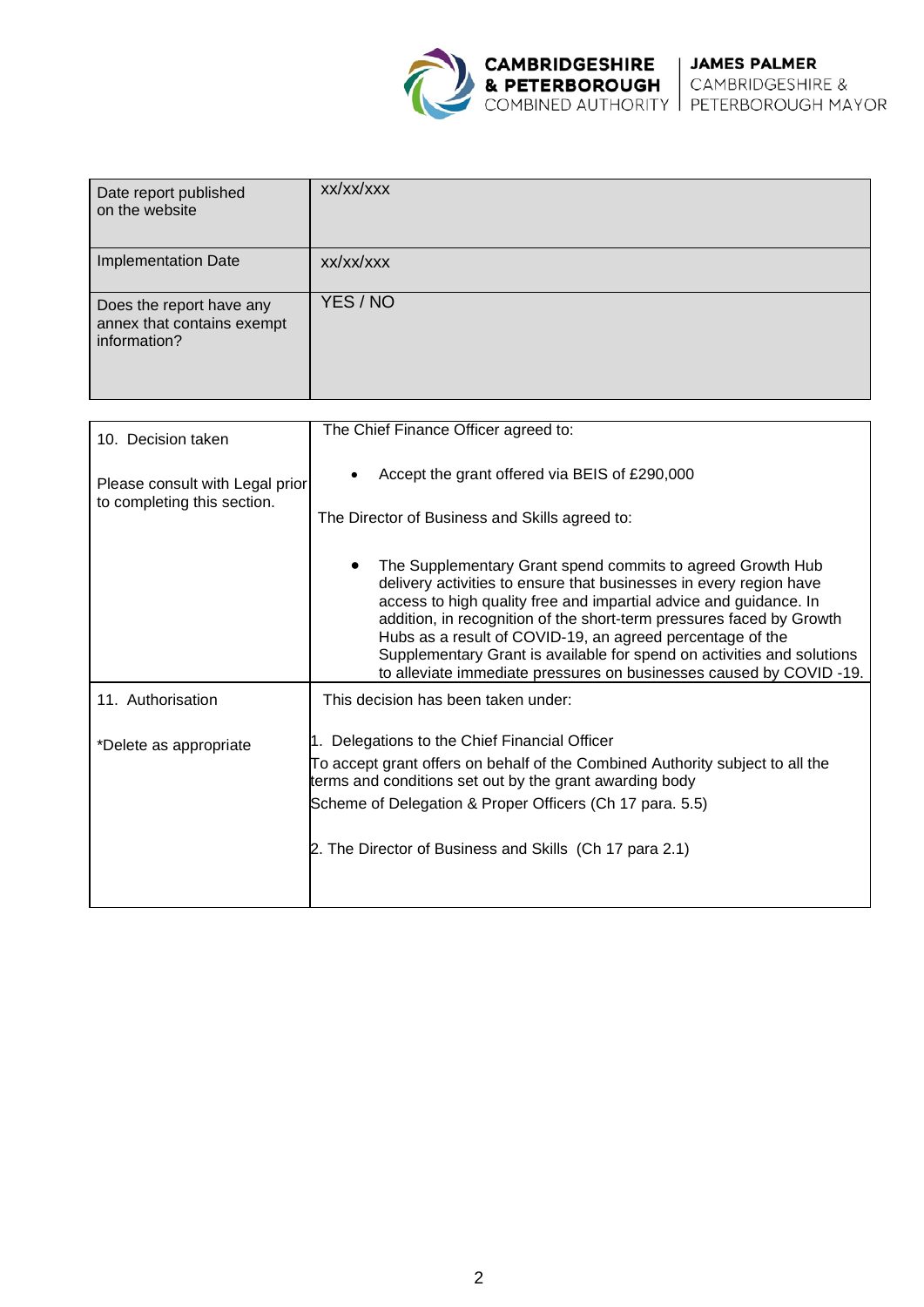

| Date report published<br>on the website                                | xx/xx/xxx |
|------------------------------------------------------------------------|-----------|
| Implementation Date                                                    | xx/xx/xxx |
| Does the report have any<br>annex that contains exempt<br>information? | YES / NO  |

| 10. Decision taken              | The Chief Finance Officer agreed to:                                                                                                                                                                                                                                                                                                                                                                                                                                                            |  |  |
|---------------------------------|-------------------------------------------------------------------------------------------------------------------------------------------------------------------------------------------------------------------------------------------------------------------------------------------------------------------------------------------------------------------------------------------------------------------------------------------------------------------------------------------------|--|--|
| Please consult with Legal prior | Accept the grant offered via BEIS of £290,000                                                                                                                                                                                                                                                                                                                                                                                                                                                   |  |  |
| to completing this section.     | The Director of Business and Skills agreed to:                                                                                                                                                                                                                                                                                                                                                                                                                                                  |  |  |
|                                 | The Supplementary Grant spend commits to agreed Growth Hub<br>٠<br>delivery activities to ensure that businesses in every region have<br>access to high quality free and impartial advice and guidance. In<br>addition, in recognition of the short-term pressures faced by Growth<br>Hubs as a result of COVID-19, an agreed percentage of the<br>Supplementary Grant is available for spend on activities and solutions<br>to alleviate immediate pressures on businesses caused by COVID-19. |  |  |
| 11. Authorisation               | This decision has been taken under:                                                                                                                                                                                                                                                                                                                                                                                                                                                             |  |  |
| *Delete as appropriate          | 1. Delegations to the Chief Financial Officer                                                                                                                                                                                                                                                                                                                                                                                                                                                   |  |  |
|                                 | To accept grant offers on behalf of the Combined Authority subject to all the<br>terms and conditions set out by the grant awarding body                                                                                                                                                                                                                                                                                                                                                        |  |  |
|                                 | Scheme of Delegation & Proper Officers (Ch 17 para. 5.5)                                                                                                                                                                                                                                                                                                                                                                                                                                        |  |  |
|                                 | 2. The Director of Business and Skills (Ch 17 para 2.1)                                                                                                                                                                                                                                                                                                                                                                                                                                         |  |  |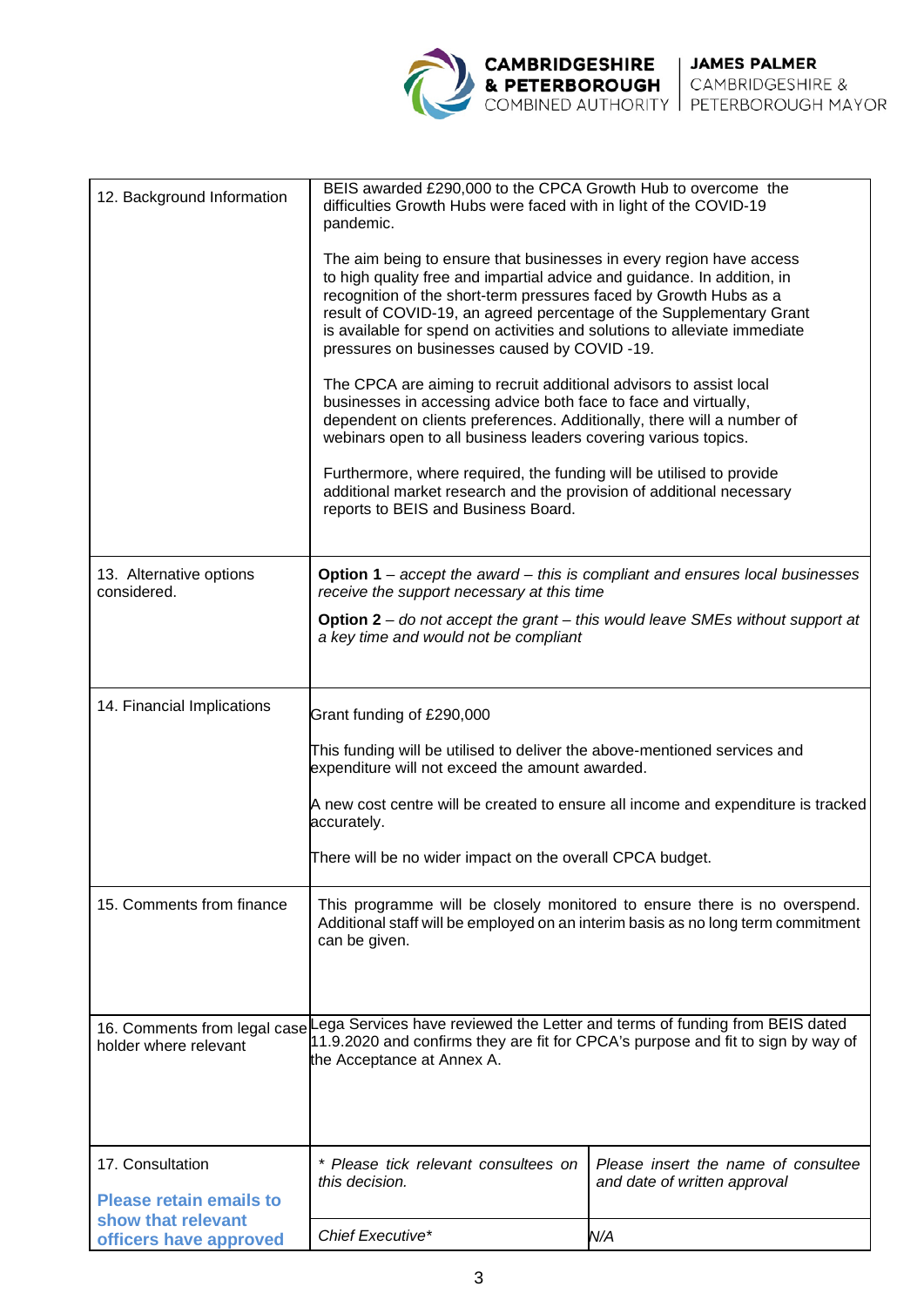

| 12. Background Information                         | BEIS awarded £290,000 to the CPCA Growth Hub to overcome the<br>difficulties Growth Hubs were faced with in light of the COVID-19<br>pandemic.                                                                                                                                                                                                                                                                          |                                                                     |  |  |  |
|----------------------------------------------------|-------------------------------------------------------------------------------------------------------------------------------------------------------------------------------------------------------------------------------------------------------------------------------------------------------------------------------------------------------------------------------------------------------------------------|---------------------------------------------------------------------|--|--|--|
|                                                    | The aim being to ensure that businesses in every region have access<br>to high quality free and impartial advice and guidance. In addition, in<br>recognition of the short-term pressures faced by Growth Hubs as a<br>result of COVID-19, an agreed percentage of the Supplementary Grant<br>is available for spend on activities and solutions to alleviate immediate<br>pressures on businesses caused by COVID -19. |                                                                     |  |  |  |
|                                                    | The CPCA are aiming to recruit additional advisors to assist local<br>businesses in accessing advice both face to face and virtually,<br>dependent on clients preferences. Additionally, there will a number of<br>webinars open to all business leaders covering various topics.                                                                                                                                       |                                                                     |  |  |  |
|                                                    | Furthermore, where required, the funding will be utilised to provide<br>additional market research and the provision of additional necessary<br>reports to BEIS and Business Board.                                                                                                                                                                                                                                     |                                                                     |  |  |  |
| 13. Alternative options<br>considered.             | <b>Option 1</b> – accept the award – this is compliant and ensures local businesses<br>receive the support necessary at this time                                                                                                                                                                                                                                                                                       |                                                                     |  |  |  |
|                                                    | <b>Option 2</b> – do not accept the grant – this would leave SMEs without support at<br>a key time and would not be compliant                                                                                                                                                                                                                                                                                           |                                                                     |  |  |  |
| 14. Financial Implications                         | Grant funding of £290,000                                                                                                                                                                                                                                                                                                                                                                                               |                                                                     |  |  |  |
|                                                    | This funding will be utilised to deliver the above-mentioned services and<br>expenditure will not exceed the amount awarded.                                                                                                                                                                                                                                                                                            |                                                                     |  |  |  |
|                                                    | A new cost centre will be created to ensure all income and expenditure is tracked<br>accurately.<br>There will be no wider impact on the overall CPCA budget.                                                                                                                                                                                                                                                           |                                                                     |  |  |  |
|                                                    |                                                                                                                                                                                                                                                                                                                                                                                                                         |                                                                     |  |  |  |
| 15. Comments from finance                          | This programme will be closely monitored to ensure there is no overspend.<br>Additional staff will be employed on an interim basis as no long term commitment<br>can be given.                                                                                                                                                                                                                                          |                                                                     |  |  |  |
| holder where relevant                              | 16. Comments from legal case Lega Services have reviewed the Letter and terms of funding from BEIS dated<br>11.9.2020 and confirms they are fit for CPCA's purpose and fit to sign by way of<br>the Acceptance at Annex A.                                                                                                                                                                                              |                                                                     |  |  |  |
| 17. Consultation<br><b>Please retain emails to</b> | * Please tick relevant consultees on<br>this decision.                                                                                                                                                                                                                                                                                                                                                                  | Please insert the name of consultee<br>and date of written approval |  |  |  |
| show that relevant<br>officers have approved       | Chief Executive*                                                                                                                                                                                                                                                                                                                                                                                                        | N/A                                                                 |  |  |  |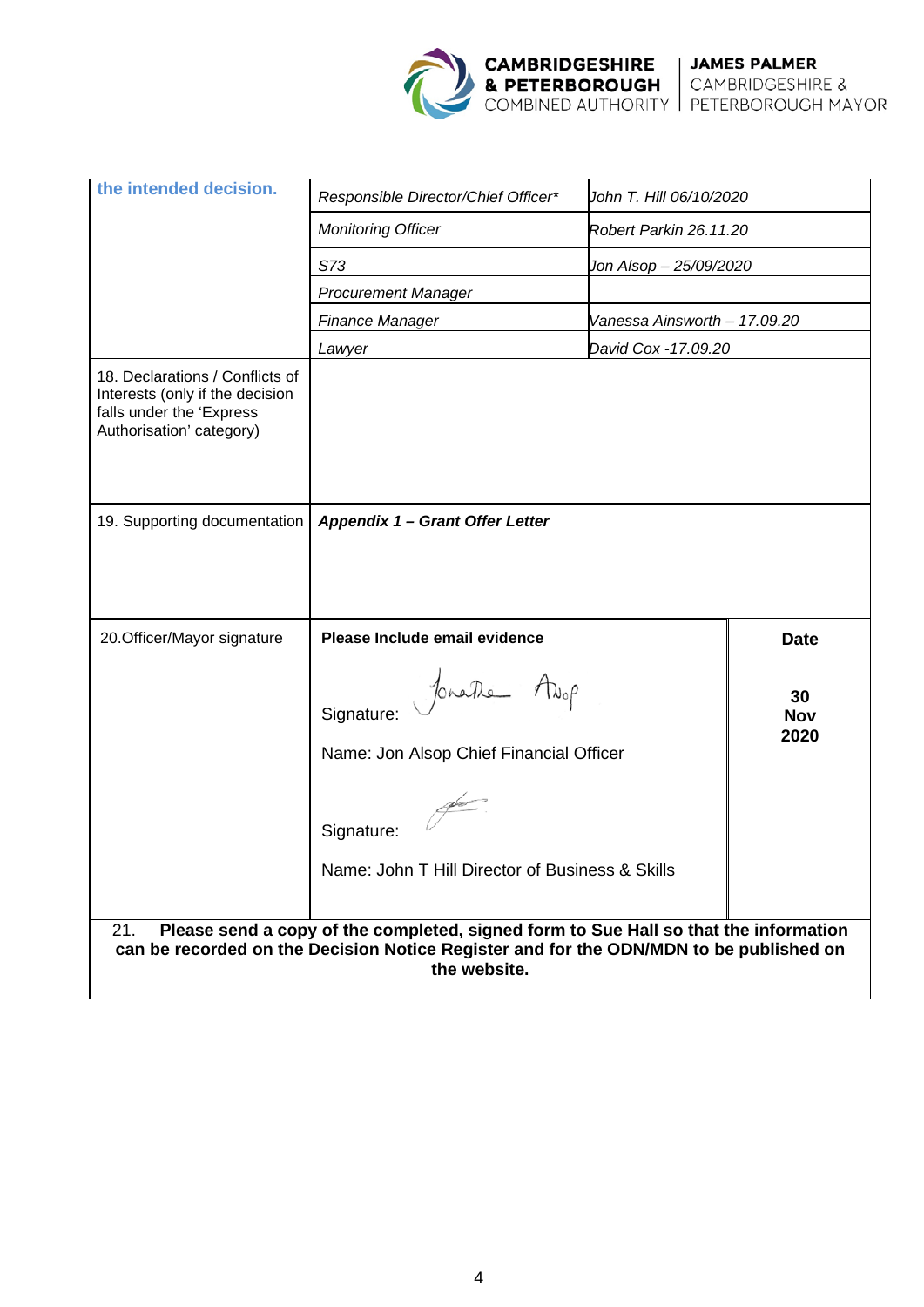

| the intended decision.                                                                                                                                                                                | Responsible Director/Chief Officer*                                   | John T. Hill 06/10/2020                             |                          |
|-------------------------------------------------------------------------------------------------------------------------------------------------------------------------------------------------------|-----------------------------------------------------------------------|-----------------------------------------------------|--------------------------|
|                                                                                                                                                                                                       | <b>Monitoring Officer</b>                                             | Robert Parkin 26.11.20                              |                          |
|                                                                                                                                                                                                       | S73                                                                   | Jon Alsop - 25/09/2020                              |                          |
|                                                                                                                                                                                                       | <b>Procurement Manager</b>                                            | Vanessa Ainsworth - 17.09.20<br>David Cox -17.09.20 |                          |
|                                                                                                                                                                                                       | <b>Finance Manager</b>                                                |                                                     |                          |
|                                                                                                                                                                                                       | Lawyer                                                                |                                                     |                          |
| 18. Declarations / Conflicts of<br>Interests (only if the decision<br>falls under the 'Express<br>Authorisation' category)                                                                            |                                                                       |                                                     |                          |
| 19. Supporting documentation                                                                                                                                                                          | Appendix 1 - Grant Offer Letter                                       |                                                     |                          |
|                                                                                                                                                                                                       |                                                                       |                                                     |                          |
| 20. Officer/Mayor signature                                                                                                                                                                           | Please Include email evidence                                         |                                                     | <b>Date</b>              |
|                                                                                                                                                                                                       | Jonathe Avop<br>Signature:<br>Name: Jon Alsop Chief Financial Officer |                                                     | 30<br><b>Nov</b><br>2020 |
|                                                                                                                                                                                                       | Signature:<br>Name: John T Hill Director of Business & Skills         |                                                     |                          |
| Please send a copy of the completed, signed form to Sue Hall so that the information<br>21.<br>can be recorded on the Decision Notice Register and for the ODN/MDN to be published on<br>the website. |                                                                       |                                                     |                          |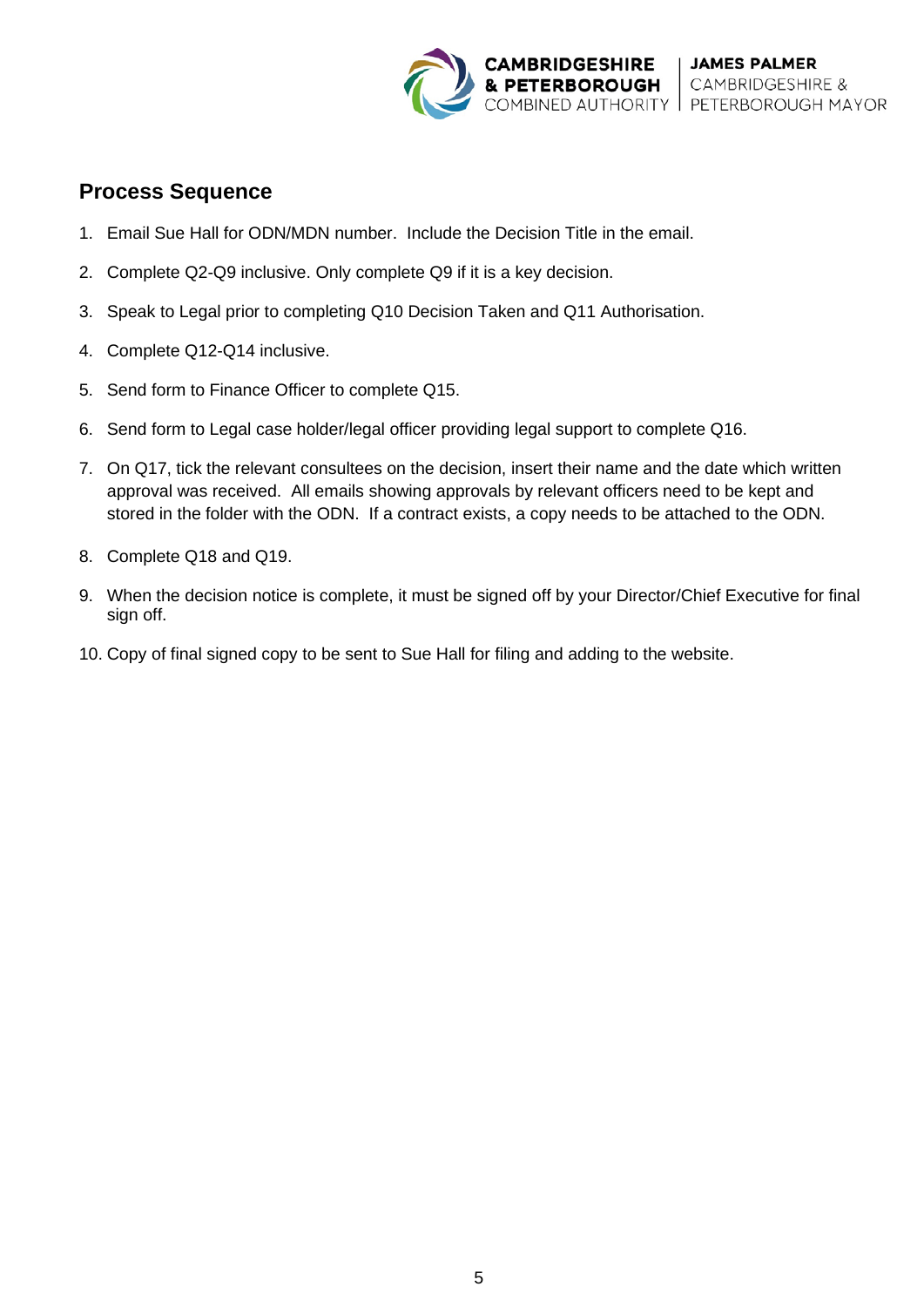

# **Process Sequence**

- 1. Email Sue Hall for ODN/MDN number. Include the Decision Title in the email.
- 2. Complete Q2-Q9 inclusive. Only complete Q9 if it is a key decision.
- 3. Speak to Legal prior to completing Q10 Decision Taken and Q11 Authorisation.
- 4. Complete Q12-Q14 inclusive.
- 5. Send form to Finance Officer to complete Q15.
- 6. Send form to Legal case holder/legal officer providing legal support to complete Q16.
- 7. On Q17, tick the relevant consultees on the decision, insert their name and the date which written approval was received. All emails showing approvals by relevant officers need to be kept and stored in the folder with the ODN. If a contract exists, a copy needs to be attached to the ODN.
- 8. Complete Q18 and Q19.
- 9. When the decision notice is complete, it must be signed off by your Director/Chief Executive for final sign off.
- 10. Copy of final signed copy to be sent to Sue Hall for filing and adding to the website.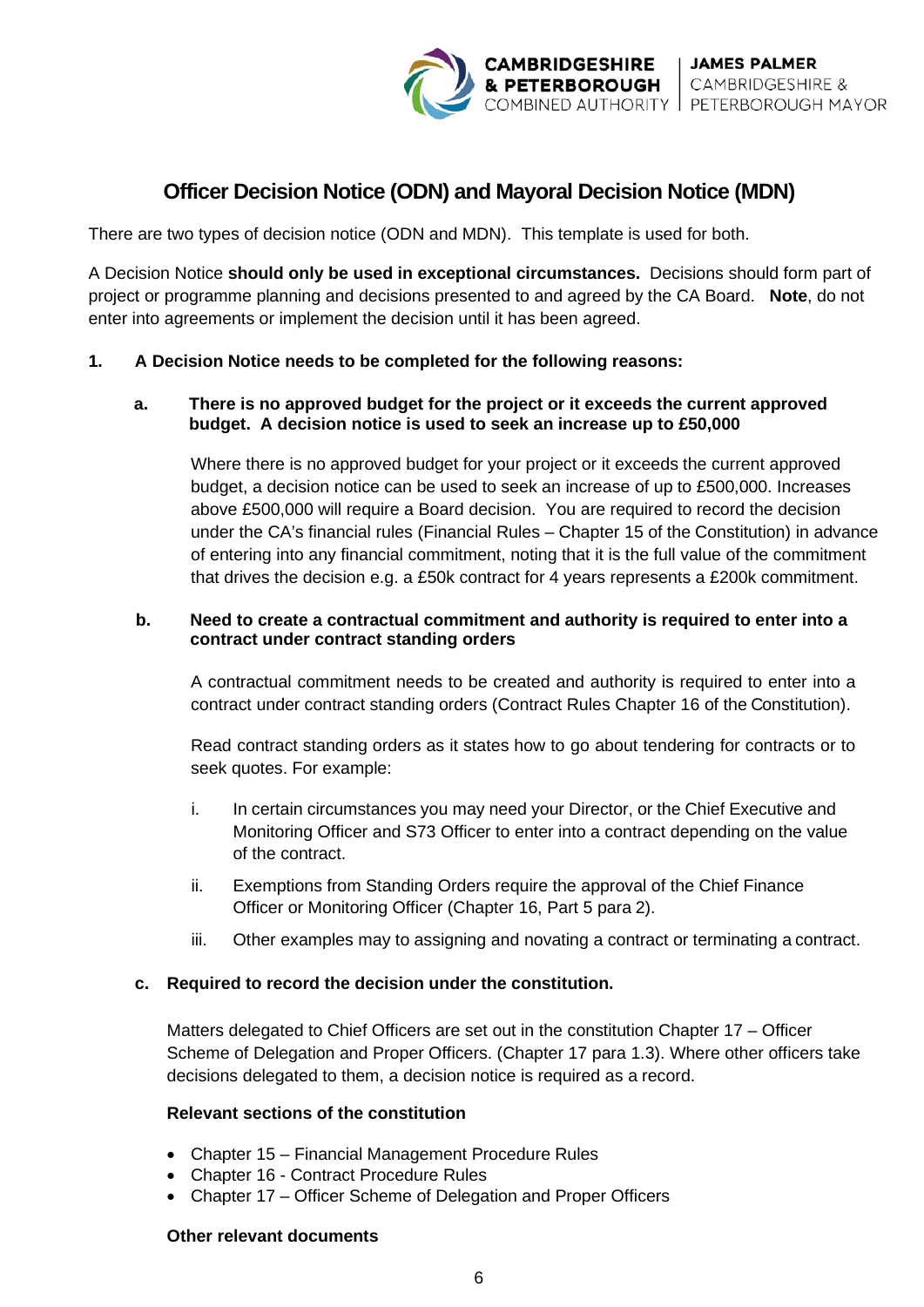

# **Officer Decision Notice (ODN) and Mayoral Decision Notice (MDN)**

There are two types of decision notice (ODN and MDN). This template is used for both.

A Decision Notice **should only be used in exceptional circumstances.** Decisions should form part of project or programme planning and decisions presented to and agreed by the CA Board. **Note**, do not enter into agreements or implement the decision until it has been agreed.

## **1. A Decision Notice needs to be completed for the following reasons:**

## **a. There is no approved budget for the project or it exceeds the current approved budget. A decision notice is used to seek an increase up to £50,000**

Where there is no approved budget for your project or it exceeds the current approved budget, a decision notice can be used to seek an increase of up to £500,000. Increases above £500,000 will require a Board decision. You are required to record the decision under the CA's financial rules (Financial Rules – Chapter 15 of the Constitution) in advance of entering into any financial commitment, noting that it is the full value of the commitment that drives the decision e.g. a £50k contract for 4 years represents a £200k commitment.

## **b. Need to create a contractual commitment and authority is required to enter into a contract under contract standing orders**

A contractual commitment needs to be created and authority is required to enter into a contract under contract standing orders (Contract Rules Chapter 16 of the Constitution).

Read contract standing orders as it states how to go about tendering for contracts or to seek quotes. For example:

- i. In certain circumstances you may need your Director, or the Chief Executive and Monitoring Officer and S73 Officer to enter into a contract depending on the value of the contract.
- ii. Exemptions from Standing Orders require the approval of the Chief Finance Officer or Monitoring Officer (Chapter 16, Part 5 para 2).
- iii. Other examples may to assigning and novating a contract or terminating a contract.

## **c. Required to record the decision under the constitution.**

Matters delegated to Chief Officers are set out in the constitution Chapter 17 – Officer Scheme of Delegation and Proper Officers. (Chapter 17 para 1.3). Where other officers take decisions delegated to them, a decision notice is required as a record.

## **Relevant sections of the constitution**

- Chapter 15 Financial Management Procedure Rules
- Chapter 16 Contract Procedure Rules
- Chapter 17 Officer Scheme of Delegation and Proper Officers

## **Other relevant documents**